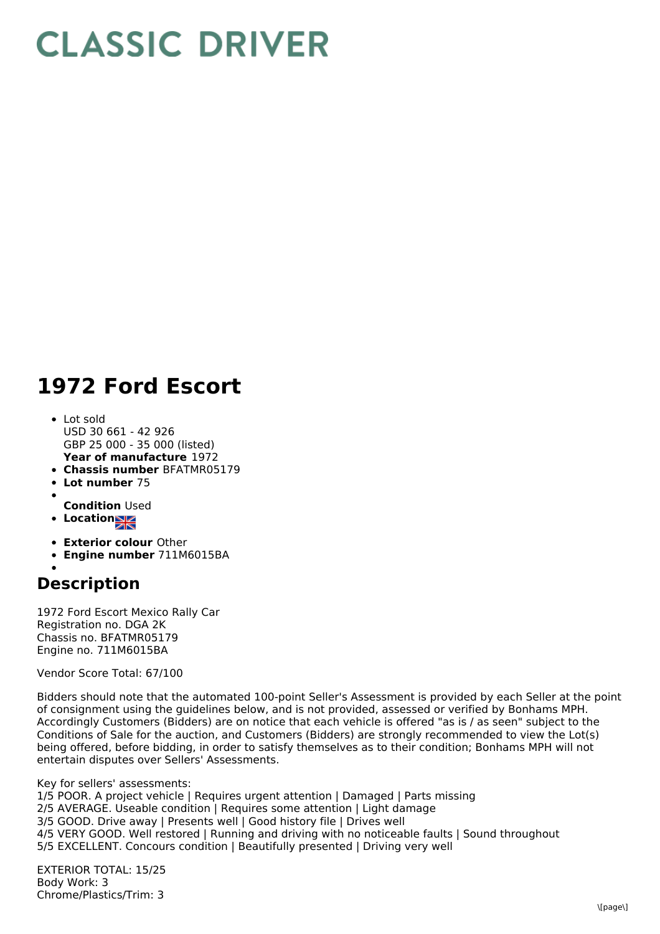## **CLASSIC DRIVER**

## **1972 Ford Escort**

- **Year of manufacture** 1972 • Lot sold USD 30 661 - 42 926 GBP 25 000 - 35 000 (listed)
- **Chassis number** BFATMR05179
- **Lot number** 75
- **Condition** Used
- **Location**
- 
- **Exterior colour** Other
- **Engine number** 711M6015BA

## **Description**

1972 Ford Escort Mexico Rally Car Registration no. DGA 2K Chassis no. BFATMR05179 Engine no. 711M6015BA

Vendor Score Total: 67/100

Bidders should note that the automated 100-point Seller's Assessment is provided by each Seller at the point of consignment using the guidelines below, and is not provided, assessed or verified by Bonhams MPH. Accordingly Customers (Bidders) are on notice that each vehicle is offered "as is / as seen" subject to the Conditions of Sale for the auction, and Customers (Bidders) are strongly recommended to view the Lot(s) being offered, before bidding, in order to satisfy themselves as to their condition; Bonhams MPH will not entertain disputes over Sellers' Assessments.

Key for sellers' assessments:

1/5 POOR. A project vehicle | Requires urgent attention | Damaged | Parts missing

- 2/5 AVERAGE. Useable condition | Requires some attention | Light damage
- 3/5 GOOD. Drive away | Presents well | Good history file | Drives well

4/5 VERY GOOD. Well restored | Running and driving with no noticeable faults | Sound throughout

5/5 EXCELLENT. Concours condition | Beautifully presented | Driving very well

EXTERIOR TOTAL: 15/25 Body Work: 3 Chrome/Plastics/Trim: 3